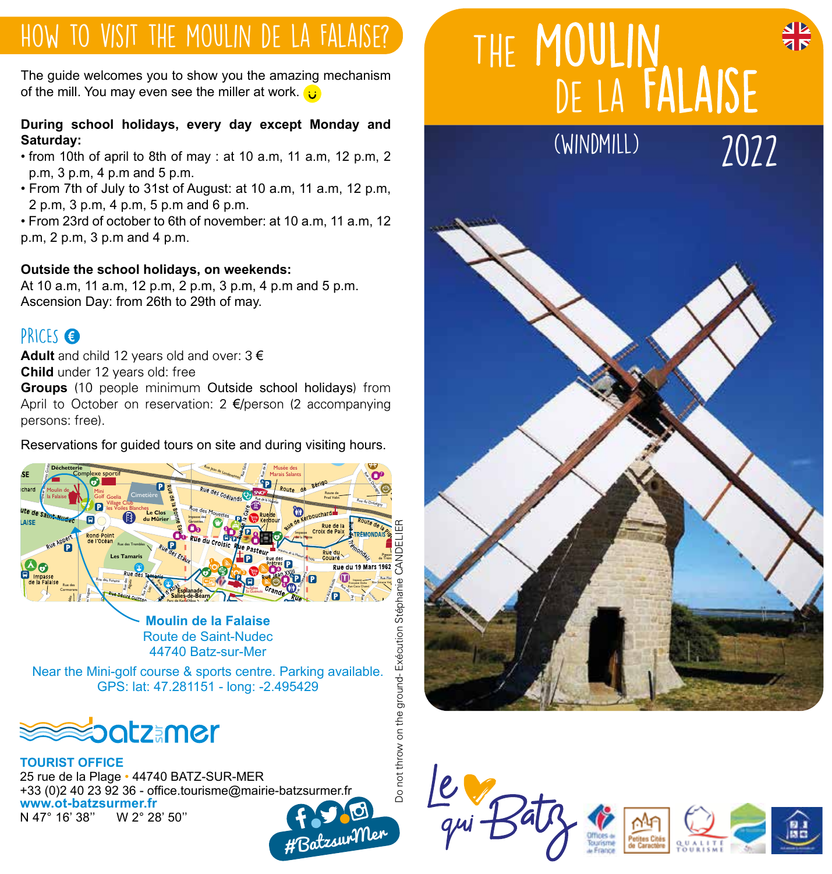### How to visit the moulin de la Falaise?

The guide welcomes you to show you the amazing mechanism of the mill. You may even see the miller at work.  $\ddot{\mathbf{u}}$ 

#### **During school holidays, every day except Monday and Saturday:**

- from 10th of april to 8th of may : at 10 a.m, 11 a.m, 12 p.m, 2 p.m, 3 p.m, 4 p.m and 5 p.m.
- From 7th of July to 31st of August: at 10 a.m, 11 a.m, 12 p.m, 2 p.m, 3 p.m, 4 p.m, 5 p.m and 6 p.m.

• From 23rd of october to 6th of november: at 10 a.m, 11 a.m, 12 p.m, 2 p.m, 3 p.m and 4 p.m.

#### **Outside the school holidays, on weekends:**

At 10 a.m, 11 a.m, 12 p.m, 2 p.m, 3 p.m, 4 p.m and 5 p.m. Ascension Day: from 26th to 29th of may.

#### PRICES **€**

**Adult** and child 12 years old and over: 3 € **Child** under 12 years old: free

**Groups** (10 people minimum Outside school holidays) from April to October on reservation: 2 €/person (2 accompanying persons: free).

persons: free).<br>R<mark>eservations for guided tours on site and during visiting hours.</mark>



mouiin de la Falaise<br>Route de Saint-Nudec 44740 Batz-sur-Mer Allée de Basse Love Allées de la Banche de la Vigne Rue J. Moulin **<sup>B</sup>ouleva<sup>r</sup><sup>d</sup> <sup>d</sup><sup>e</sup> <sup>l</sup><sup>a</sup> <sup>M</sup><sup>e</sup><sup>r</sup>** Fummas de l'atmentique de Saint-Nudec

Near the Mini-golf course & sports centre. Parking available.<br>CDS: let: 47,294454, Jong: 2,405420. GPS: lat: 47.281151 - long: -2.495429



**TOURIST OFFICE** 25 rue de la Plage • 44740 BATZ-SUR-MER 25 Tue de la Flage - 44740 BATZ-SOR-MER<br>+33 (0)2 40 23 92 36 - office.tourisme@mairie-batzsurmer.fr **www.ot-batzsurmer.fr** N 47° 16' 38" # BatzsurMer

# THE MOULIN de la Falaise

(windmill)

2022